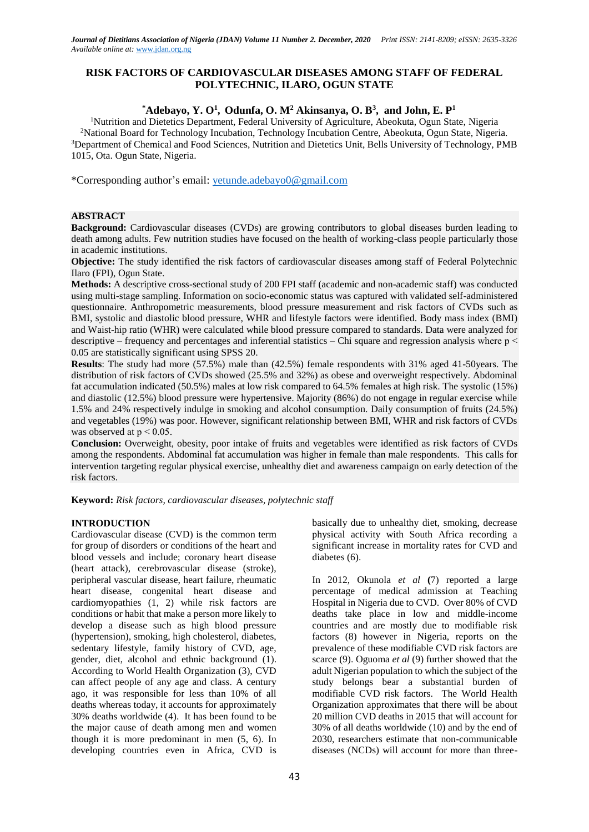# **RISK FACTORS OF CARDIOVASCULAR DISEASES AMONG STAFF OF FEDERAL POLYTECHNIC, ILARO, OGUN STATE**

# **\*Adebayo, Y. O<sup>1</sup> , Odunfa, O. M<sup>2</sup> Akinsanya, O. B<sup>3</sup> , and John, E. P<sup>1</sup>**

<sup>1</sup>Nutrition and Dietetics Department, Federal University of Agriculture, Abeokuta, Ogun State, Nigeria <sup>2</sup>National Board for Technology Incubation, Technology Incubation Centre, Abeokuta, Ogun State, Nigeria. <sup>3</sup>Department of Chemical and Food Sciences, Nutrition and Dietetics Unit, Bells University of Technology, PMB 1015, Ota. Ogun State, Nigeria.

\*Corresponding author's email[: yetunde.adebayo0@gmail.com](mailto:yetunde.adebayo0@gmail.com)

# **ABSTRACT**

**Background:** Cardiovascular diseases (CVDs) are growing contributors to global diseases burden leading to death among adults. Few nutrition studies have focused on the health of working-class people particularly those in academic institutions.

**Objective:** The study identified the risk factors of cardiovascular diseases among staff of Federal Polytechnic Ilaro (FPI), Ogun State.

**Methods:** A descriptive cross-sectional study of 200 FPI staff (academic and non-academic staff) was conducted using multi-stage sampling. Information on socio-economic status was captured with validated self-administered questionnaire. Anthropometric measurements, blood pressure measurement and risk factors of CVDs such as BMI, systolic and diastolic blood pressure, WHR and lifestyle factors were identified. Body mass index (BMI) and Waist-hip ratio (WHR) were calculated while blood pressure compared to standards. Data were analyzed for descriptive – frequency and percentages and inferential statistics – Chi square and regression analysis where  $p <$ 0.05 are statistically significant using SPSS 20.

**Results**: The study had more (57.5%) male than (42.5%) female respondents with 31% aged 41-50years. The distribution of risk factors of CVDs showed (25.5% and 32%) as obese and overweight respectively. Abdominal fat accumulation indicated (50.5%) males at low risk compared to 64.5% females at high risk. The systolic (15%) and diastolic (12.5%) blood pressure were hypertensive. Majority (86%) do not engage in regular exercise while 1.5% and 24% respectively indulge in smoking and alcohol consumption. Daily consumption of fruits (24.5%) and vegetables (19%) was poor. However, significant relationship between BMI, WHR and risk factors of CVDs was observed at  $p < 0.05$ .

**Conclusion:** Overweight, obesity, poor intake of fruits and vegetables were identified as risk factors of CVDs among the respondents. Abdominal fat accumulation was higher in female than male respondents. This calls for intervention targeting regular physical exercise, unhealthy diet and awareness campaign on early detection of the risk factors.

**Keyword:** *Risk factors, cardiovascular diseases, polytechnic staff*

# **INTRODUCTION**

Cardiovascular disease (CVD) is the common term for group of disorders or conditions of the heart and blood vessels and include; coronary heart disease (heart attack), cerebrovascular disease (stroke), peripheral vascular disease, heart failure, rheumatic heart disease, congenital heart disease and cardiomyopathies (1, 2) while risk factors are conditions or habit that make a person more likely to develop a disease such as high blood pressure (hypertension), smoking, high cholesterol, diabetes, sedentary lifestyle, family history of CVD, age, gender, diet, alcohol and ethnic background (1). According to World Health Organization (3), CVD can affect people of any age and class. A century ago, it was responsible for less than 10% of all deaths whereas today, it accounts for approximately 30% deaths worldwide (4). It has been found to be the major cause of death among men and women though it is more predominant in men (5, 6). In developing countries even in Africa, CVD is

basically due to unhealthy diet, smoking, decrease physical activity with South Africa recording a significant increase in mortality rates for CVD and diabetes (6).

In 2012, Okunola *et al* **(**7) reported a large percentage of medical admission at Teaching Hospital in Nigeria due to CVD. Over 80% of CVD deaths take place in low and middle-income countries and are mostly due to modifiable risk factors (8) however in Nigeria, reports on the prevalence of these modifiable CVD risk factors are scarce (9). Oguoma *et al* (9) further showed that the adult Nigerian population to which the subject of the study belongs bear a substantial burden of modifiable CVD risk factors. The World Health Organization approximates that there will be about 20 million CVD deaths in 2015 that will account for 30% of all deaths worldwide (10) and by the end of 2030, researchers estimate that non-communicable diseases (NCDs) will account for more than three-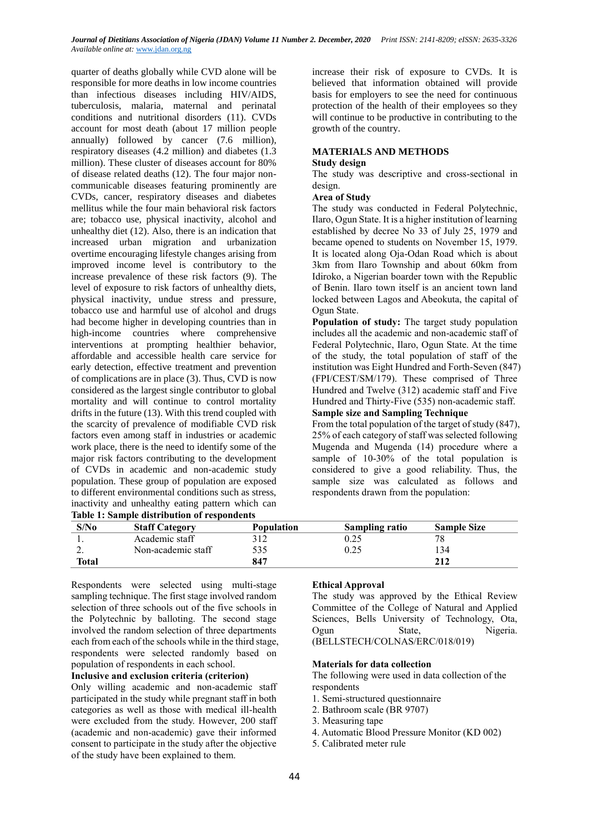quarter of deaths globally while CVD alone will be responsible for more deaths in low income countries than infectious diseases including HIV/AIDS, tuberculosis, malaria, maternal and perinatal conditions and nutritional disorders (11). CVDs account for most death (about 17 million people annually) followed by cancer (7.6 million), respiratory diseases (4.2 million) and diabetes (1.3 million). These cluster of diseases account for 80% of disease related deaths (12). The four major noncommunicable diseases featuring prominently are CVDs, cancer, respiratory diseases and diabetes mellitus while the four main behavioral risk factors are; tobacco use, physical inactivity, alcohol and unhealthy diet (12). Also, there is an indication that increased urban migration and urbanization overtime encouraging lifestyle changes arising from improved income level is contributory to the increase prevalence of these risk factors (9). The level of exposure to risk factors of unhealthy diets, physical inactivity, undue stress and pressure, tobacco use and harmful use of alcohol and drugs had become higher in developing countries than in high-income countries where comprehensive interventions at prompting healthier behavior, affordable and accessible health care service for early detection, effective treatment and prevention of complications are in place (3). Thus, CVD is now considered as the largest single contributor to global mortality and will continue to control mortality drifts in the future (13). With this trend coupled with the scarcity of prevalence of modifiable CVD risk factors even among staff in industries or academic work place, there is the need to identify some of the major risk factors contributing to the development of CVDs in academic and non-academic study population. These group of population are exposed to different environmental conditions such as stress, inactivity and unhealthy eating pattern which can **Table 1: Sample distribution of respondents**

increase their risk of exposure to CVDs. It is believed that information obtained will provide basis for employers to see the need for continuous protection of the health of their employees so they will continue to be productive in contributing to the growth of the country.

# **MATERIALS AND METHODS**

#### **Study design**

The study was descriptive and cross-sectional in design.

#### **Area of Study**

The study was conducted in Federal Polytechnic, Ilaro, Ogun State. It is a higher institution of learning established by decree No 33 of July 25, 1979 and became opened to students on November 15, 1979. It is located along Oja-Odan Road which is about 3km from Ilaro Township and about 60km from Idiroko, a Nigerian boarder town with the Republic of Benin. Ilaro town itself is an ancient town land locked between Lagos and Abeokuta, the capital of Ogun State.

**Population of study:** The target study population includes all the academic and non-academic staff of Federal Polytechnic, Ilaro, Ogun State. At the time of the study, the total population of staff of the institution was Eight Hundred and Forth-Seven (847) (FPI/CEST/SM/179). These comprised of Three Hundred and Twelve (312) academic staff and Five Hundred and Thirty-Five (535) non-academic staff.

### **Sample size and Sampling Technique**

From the total population of the target of study (847), 25% of each category of staff was selected following Mugenda and Mugenda (14) procedure where a sample of 10-30% of the total population is considered to give a good reliability. Thus, the sample size was calculated as follows and respondents drawn from the population:

| Table 1: Sample distribution of respondents |                       |                   |                |                    |  |
|---------------------------------------------|-----------------------|-------------------|----------------|--------------------|--|
| S/No                                        | <b>Staff Category</b> | <b>Population</b> | Sampling ratio | <b>Sample Size</b> |  |
|                                             | Academic staff        |                   |                |                    |  |
| ,.                                          | Non-academic staff    | 535               | 0.25           | 34ء                |  |
| Total                                       |                       | 847               |                | 212                |  |

Respondents were selected using multi-stage sampling technique. The first stage involved random selection of three schools out of the five schools in the Polytechnic by balloting. The second stage involved the random selection of three departments each from each of the schools while in the third stage, respondents were selected randomly based on population of respondents in each school.

# **Inclusive and exclusion criteria (criterion)**

Only willing academic and non-academic staff participated in the study while pregnant staff in both categories as well as those with medical ill-health were excluded from the study. However, 200 staff (academic and non-academic) gave their informed consent to participate in the study after the objective of the study have been explained to them.

#### **Ethical Approval**

The study was approved by the Ethical Review Committee of the College of Natural and Applied Sciences, Bells University of Technology, Ota, Ogun State, Nigeria. (BELLSTECH/COLNAS/ERC/018/019)

#### **Materials for data collection**

The following were used in data collection of the respondents

- 1. Semi-structured questionnaire
- 2. Bathroom scale (BR 9707)
- 3. Measuring tape
- 4. Automatic Blood Pressure Monitor (KD 002)
- 5. Calibrated meter rule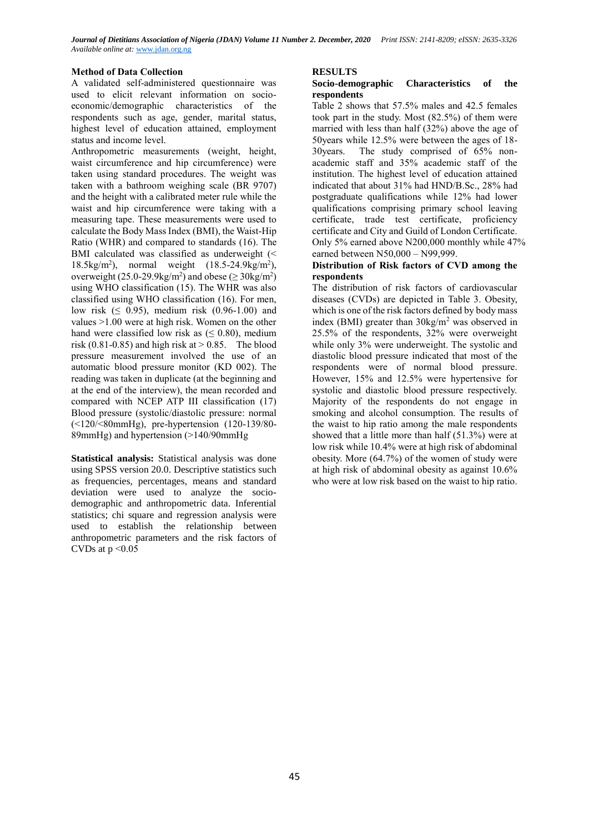# **Method of Data Collection**

A validated self-administered questionnaire was used to elicit relevant information on socioeconomic/demographic characteristics of the respondents such as age, gender, marital status, highest level of education attained, employment status and income level.

Anthropometric measurements (weight, height, waist circumference and hip circumference) were taken using standard procedures. The weight was taken with a bathroom weighing scale (BR 9707) and the height with a calibrated meter rule while the waist and hip circumference were taking with a measuring tape. These measurements were used to calculate the Body Mass Index (BMI), the Waist-Hip Ratio (WHR) and compared to standards (16). The BMI calculated was classified as underweight (< 18.5kg/m<sup>2</sup> ), normal weight (18.5-24.9kg/m<sup>2</sup> ), overweight (25.0-29.9kg/m<sup>2</sup>) and obese ( $\geq$  30kg/m<sup>2</sup>) using WHO classification (15). The WHR was also classified using WHO classification (16). For men, low risk (≤ 0.95), medium risk (0.96-1.00) and values  $>1.00$  were at high risk. Women on the other hand were classified low risk as  $( \leq 0.80)$ , medium risk (0.81-0.85) and high risk at  $> 0.85$ . The blood pressure measurement involved the use of an automatic blood pressure monitor (KD 002). The reading was taken in duplicate (at the beginning and at the end of the interview), the mean recorded and compared with NCEP ATP III classification (17) Blood pressure (systolic/diastolic pressure: normal (˂120/˂80mmHg), pre-hypertension (120-139/80- 89mmHg) and hypertension (>140/90mmHg)

**Statistical analysis:** Statistical analysis was done using SPSS version 20.0. Descriptive statistics such as frequencies, percentages, means and standard deviation were used to analyze the sociodemographic and anthropometric data. Inferential statistics; chi square and regression analysis were used to establish the relationship between anthropometric parameters and the risk factors of CVDs at  $p \leq 0.05$ 

### **RESULTS**

### **Socio-demographic Characteristics of the respondents**

Table 2 shows that 57.5% males and 42.5 females took part in the study. Most (82.5%) of them were married with less than half (32%) above the age of 50years while 12.5% were between the ages of 18- 30years. The study comprised of 65% nonacademic staff and 35% academic staff of the institution. The highest level of education attained indicated that about 31% had HND/B.Sc., 28% had postgraduate qualifications while 12% had lower qualifications comprising primary school leaving certificate, trade test certificate, proficiency certificate and City and Guild of London Certificate. Only 5% earned above N200,000 monthly while 47% earned between N50,000 – N99,999.

### **Distribution of Risk factors of CVD among the respondents**

The distribution of risk factors of cardiovascular diseases (CVDs) are depicted in Table 3. Obesity, which is one of the risk factors defined by body mass index (BMI) greater than  $30\text{kg/m}^2$  was observed in 25.5% of the respondents, 32% were overweight while only 3% were underweight. The systolic and diastolic blood pressure indicated that most of the respondents were of normal blood pressure. However, 15% and 12.5% were hypertensive for systolic and diastolic blood pressure respectively. Majority of the respondents do not engage in smoking and alcohol consumption. The results of the waist to hip ratio among the male respondents showed that a little more than half (51.3%) were at low risk while 10.4% were at high risk of abdominal obesity. More (64.7%) of the women of study were at high risk of abdominal obesity as against 10.6% who were at low risk based on the waist to hip ratio.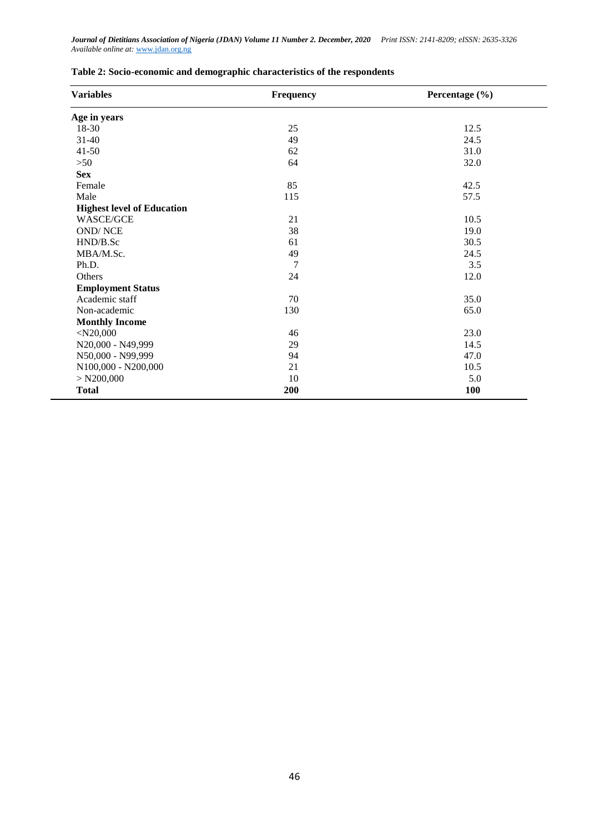| <b>Variables</b>                  | Frequency | Percentage (%) |  |  |
|-----------------------------------|-----------|----------------|--|--|
| Age in years                      |           |                |  |  |
| 18-30                             | 25        | 12.5           |  |  |
| $31 - 40$                         | 49        | 24.5           |  |  |
| $41 - 50$                         | 62        | 31.0           |  |  |
| $>50$                             | 64        | 32.0           |  |  |
| <b>Sex</b>                        |           |                |  |  |
| Female                            | 85        | 42.5           |  |  |
| Male                              | 115       | 57.5           |  |  |
| <b>Highest level of Education</b> |           |                |  |  |
| WASCE/GCE                         | 21        | 10.5           |  |  |
| <b>OND/NCE</b>                    | 38        | 19.0           |  |  |
| HND/B.Sc                          | 61        | 30.5           |  |  |
| MBA/M.Sc.                         | 49        | 24.5           |  |  |
| Ph.D.                             | 7         | 3.5            |  |  |
| Others                            | 24        | 12.0           |  |  |
| <b>Employment Status</b>          |           |                |  |  |
| Academic staff                    | 70        | 35.0           |  |  |
| Non-academic                      | 130       | 65.0           |  |  |
| <b>Monthly Income</b>             |           |                |  |  |
| $<$ N20,000                       | 46        | 23.0           |  |  |
| N20,000 - N49,999                 | 29        | 14.5           |  |  |
| N50,000 - N99,999                 | 94        | 47.0           |  |  |
| N100,000 - N200,000               | 21        | 10.5           |  |  |
| $>$ N200,000                      | 10        | 5.0            |  |  |
| <b>Total</b>                      | 200       | 100            |  |  |

# **Table 2: Socio-economic and demographic characteristics of the respondents**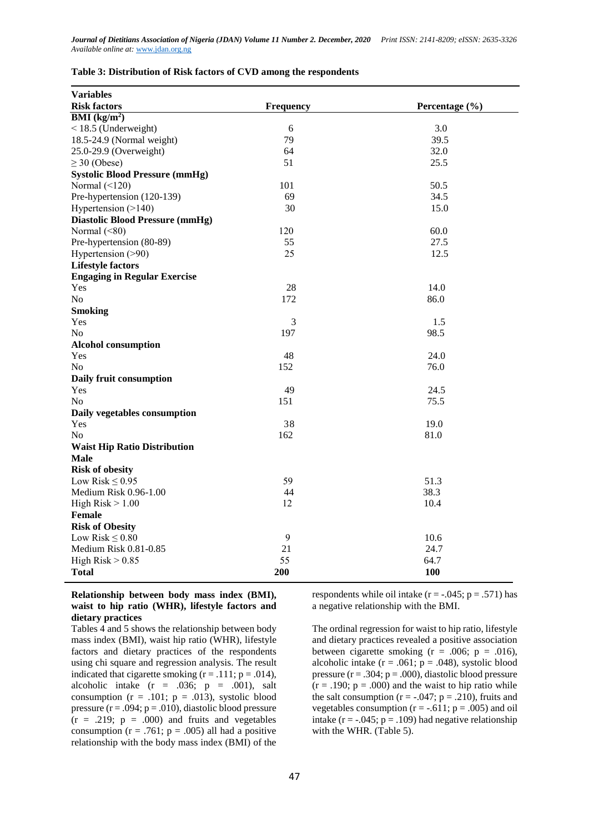| Table 3: Distribution of Risk factors of CVD among the respondents |  |  |  |
|--------------------------------------------------------------------|--|--|--|
|--------------------------------------------------------------------|--|--|--|

| <b>Variables</b>                       |                  |                |
|----------------------------------------|------------------|----------------|
| <b>Risk factors</b>                    | <b>Frequency</b> | Percentage (%) |
| $\overline{\text{BMI}(\text{kg/m}^2)}$ |                  |                |
| $<$ 18.5 (Underweight)                 | 6                | 3.0            |
| 18.5-24.9 (Normal weight)              | 79               | 39.5           |
| 25.0-29.9 (Overweight)                 | 64               | 32.0           |
| $\geq$ 30 (Obese)                      | 51               | 25.5           |
| <b>Systolic Blood Pressure (mmHg)</b>  |                  |                |
| Normal $(\leq 120)$                    | 101              | 50.5           |
| Pre-hypertension (120-139)             | 69               | 34.5           |
| Hypertension (>140)                    | 30               | 15.0           |
| <b>Diastolic Blood Pressure (mmHg)</b> |                  |                |
| Normal $(\leq 80)$                     | 120              | 60.0           |
| Pre-hypertension (80-89)               | 55               | 27.5           |
| Hypertension (>90)                     | 25               | 12.5           |
| <b>Lifestyle factors</b>               |                  |                |
| <b>Engaging in Regular Exercise</b>    |                  |                |
| Yes                                    | 28               | 14.0           |
| No                                     | 172              | 86.0           |
| <b>Smoking</b>                         |                  |                |
| Yes                                    | 3                | 1.5            |
| No                                     | 197              | 98.5           |
| <b>Alcohol consumption</b>             |                  |                |
| Yes                                    | 48               | 24.0           |
| N <sub>o</sub>                         | 152              | 76.0           |
| Daily fruit consumption                |                  |                |
| Yes                                    | 49               | 24.5           |
| N <sub>o</sub>                         | 151              | 75.5           |
| Daily vegetables consumption           |                  |                |
| Yes                                    | 38               | 19.0           |
| N <sub>o</sub>                         | 162              | 81.0           |
| <b>Waist Hip Ratio Distribution</b>    |                  |                |
| <b>Male</b>                            |                  |                |
| <b>Risk of obesity</b>                 |                  |                |
| Low Risk $\leq 0.95$                   | 59               | 51.3           |
| Medium Risk 0.96-1.00                  | 44               | 38.3           |
| High $Risk > 1.00$                     | 12               | 10.4           |
| <b>Female</b>                          |                  |                |
| <b>Risk of Obesity</b>                 |                  |                |
| Low Risk $\leq 0.80$                   | 9                | 10.6           |
| Medium Risk 0.81-0.85                  | 21               | 24.7           |
| High $Risk > 0.85$                     | 55               | 64.7           |
| <b>Total</b>                           | 200              | <b>100</b>     |

### **Relationship between body mass index (BMI), waist to hip ratio (WHR), lifestyle factors and dietary practices**

Tables 4 and 5 shows the relationship between body mass index (BMI), waist hip ratio (WHR), lifestyle factors and dietary practices of the respondents using chi square and regression analysis. The result indicated that cigarette smoking  $(r = .111; p = .014)$ , alcoholic intake  $(r = .036; p = .001)$ , salt consumption  $(r = .101; p = .013)$ , systolic blood pressure  $(r = .094; p = .010)$ , diastolic blood pressure  $(r = .219; p = .000)$  and fruits and vegetables consumption  $(r = .761; p = .005)$  all had a positive relationship with the body mass index (BMI) of the

respondents while oil intake  $(r = -.045; p = .571)$  has a negative relationship with the BMI.

The ordinal regression for waist to hip ratio, lifestyle and dietary practices revealed a positive association between cigarette smoking  $(r = .006; p = .016)$ , alcoholic intake  $(r = .061; p = .048)$ , systolic blood pressure  $(r = .304; p = .000)$ , diastolic blood pressure  $(r = .190; p = .000)$  and the waist to hip ratio while the salt consumption ( $r = -.047$ ;  $p = .210$ ), fruits and vegetables consumption ( $r = -0.611$ ;  $p = .005$ ) and oil intake ( $r = -0.045$ ;  $p = 0.109$ ) had negative relationship with the WHR. (Table 5).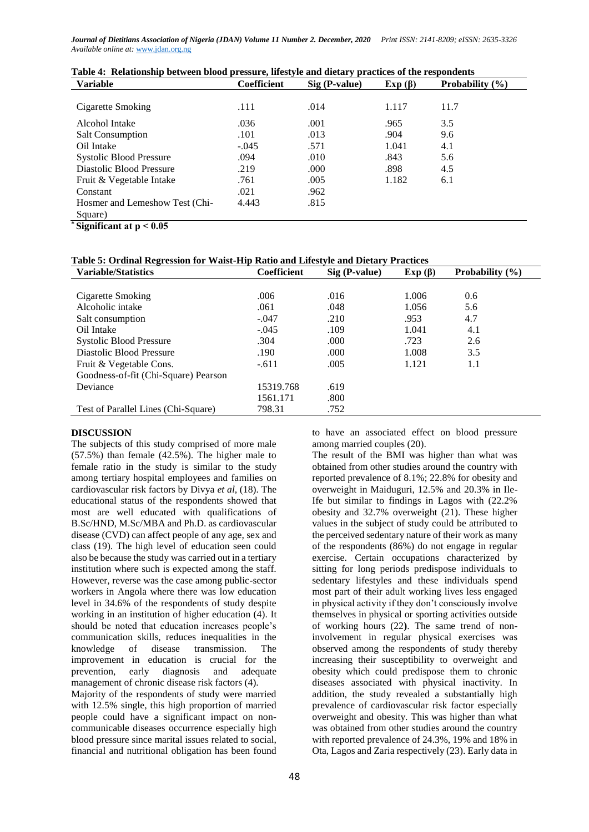| <b>Variable</b>                | <b>Coefficient</b> | $\frac{1}{2}$<br>Sig (P-value) | Exp $(\beta)$ | Probability $(\% )$ |
|--------------------------------|--------------------|--------------------------------|---------------|---------------------|
|                                |                    |                                |               |                     |
| Cigarette Smoking              | .111               | .014                           | 1.117         | 11.7                |
| Alcohol Intake                 | .036               | .001                           | .965          | 3.5                 |
| <b>Salt Consumption</b>        | .101               | .013                           | .904          | 9.6                 |
| Oil Intake                     | $-.045$            | .571                           | 1.041         | 4.1                 |
| <b>Systolic Blood Pressure</b> | .094               | .010                           | .843          | 5.6                 |
| Diastolic Blood Pressure       | .219               | .000                           | .898          | 4.5                 |
| Fruit & Vegetable Intake       | .761               | .005                           | 1.182         | 6.1                 |
| Constant                       | .021               | .962                           |               |                     |
| Hosmer and Lemeshow Test (Chi- | 4.443              | .815                           |               |                     |
| Square)                        |                    |                                |               |                     |

**\* Significant at p ˂ 0.05**

# **Table 5: Ordinal Regression for Waist-Hip Ratio and Lifestyle and Dietary Practices**

| <b>Variable/Statistics</b>           | <b>Coefficient</b> | Sig (P-value) | Exp $(\beta)$ | Probability $(\% )$ |
|--------------------------------------|--------------------|---------------|---------------|---------------------|
|                                      |                    |               |               |                     |
| Cigarette Smoking                    | .006               | .016          | 1.006         | 0.6                 |
| Alcoholic intake                     | .061               | .048          | 1.056         | 5.6                 |
| Salt consumption                     | $-.047$            | .210          | .953          | 4.7                 |
| Oil Intake                           | $-.045$            | .109          | 1.041         | 4.1                 |
| <b>Systolic Blood Pressure</b>       | .304               | .000          | .723          | 2.6                 |
| Diastolic Blood Pressure             | .190               | .000          | 1.008         | 3.5                 |
| Fruit & Vegetable Cons.              | $-.611$            | .005          | 1.121         | 1.1                 |
| Goodness-of-fit (Chi-Square) Pearson |                    |               |               |                     |
| Deviance                             | 15319.768          | .619          |               |                     |
|                                      | 1561.171           | .800          |               |                     |
| Test of Parallel Lines (Chi-Square)  | 798.31             | .752          |               |                     |

### **DISCUSSION**

The subjects of this study comprised of more male (57.5%) than female (42.5%). The higher male to female ratio in the study is similar to the study among tertiary hospital employees and families on cardiovascular risk factors by Divya *et al*, (18). The educational status of the respondents showed that most are well educated with qualifications of B.Sc/HND, M.Sc/MBA and Ph.D. as cardiovascular disease (CVD) can affect people of any age, sex and class (19). The high level of education seen could also be because the study was carried out in a tertiary institution where such is expected among the staff. However, reverse was the case among public-sector workers in Angola where there was low education level in 34.6% of the respondents of study despite working in an institution of higher education (4). It should be noted that education increases people's communication skills, reduces inequalities in the knowledge of disease transmission. The improvement in education is crucial for the prevention, early diagnosis and adequate management of chronic disease risk factors (4). Majority of the respondents of study were married with 12.5% single, this high proportion of married people could have a significant impact on noncommunicable diseases occurrence especially high blood pressure since marital issues related to social, financial and nutritional obligation has been found

to have an associated effect on blood pressure among married couples (20).

The result of the BMI was higher than what was obtained from other studies around the country with reported prevalence of 8.1%; 22.8% for obesity and overweight in Maiduguri, 12.5% and 20.3% in Ile-Ife but similar to findings in Lagos with (22.2% obesity and 32.7% overweight (21). These higher values in the subject of study could be attributed to the perceived sedentary nature of their work as many of the respondents (86%) do not engage in regular exercise. Certain occupations characterized by sitting for long periods predispose individuals to sedentary lifestyles and these individuals spend most part of their adult working lives less engaged in physical activity if they don't consciously involve themselves in physical or sporting activities outside of working hours (22**)**. The same trend of noninvolvement in regular physical exercises was observed among the respondents of study thereby increasing their susceptibility to overweight and obesity which could predispose them to chronic diseases associated with physical inactivity. In addition, the study revealed a substantially high prevalence of cardiovascular risk factor especially overweight and obesity. This was higher than what was obtained from other studies around the country with reported prevalence of 24.3%, 19% and 18% in Ota, Lagos and Zaria respectively (23). Early data in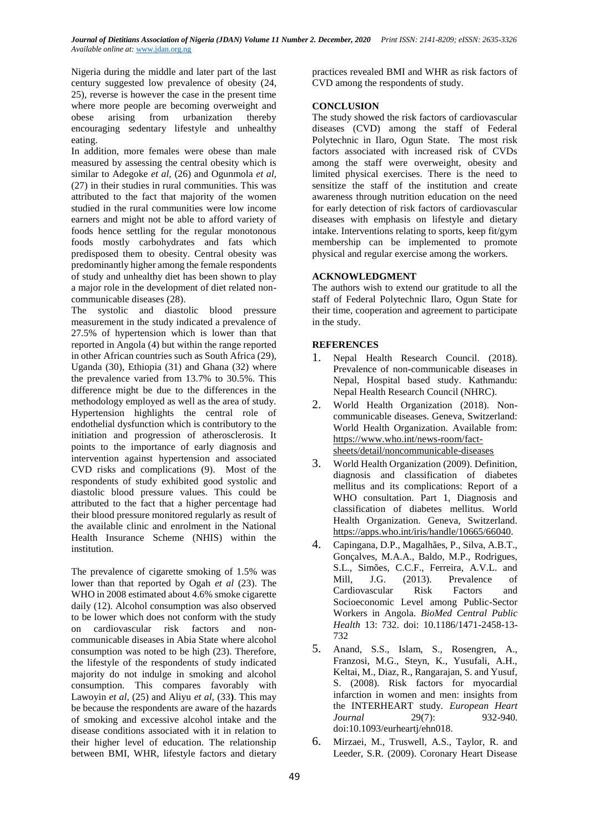Nigeria during the middle and later part of the last century suggested low prevalence of obesity (24, 25), reverse is however the case in the present time where more people are becoming overweight and obese arising from urbanization thereby encouraging sedentary lifestyle and unhealthy eating.

In addition, more females were obese than male measured by assessing the central obesity which is similar to Adegoke *et al,* (26) and Ogunmola *et al,*  (27) in their studies in rural communities. This was attributed to the fact that majority of the women studied in the rural communities were low income earners and might not be able to afford variety of foods hence settling for the regular monotonous foods mostly carbohydrates and fats which predisposed them to obesity. Central obesity was predominantly higher among the female respondents of study and unhealthy diet has been shown to play a major role in the development of diet related noncommunicable diseases (28).

The systolic and diastolic blood pressure measurement in the study indicated a prevalence of 27.5% of hypertension which is lower than that reported in Angola (4) but within the range reported in other African countries such as South Africa (29), Uganda (30), Ethiopia (31) and Ghana (32) where the prevalence varied from 13.7% to 30.5%. This difference might be due to the differences in the methodology employed as well as the area of study. Hypertension highlights the central role of endothelial dysfunction which is contributory to the initiation and progression of atherosclerosis. It points to the importance of early diagnosis and intervention against hypertension and associated CVD risks and complications (9). Most of the respondents of study exhibited good systolic and diastolic blood pressure values. This could be attributed to the fact that a higher percentage had their blood pressure monitored regularly as result of the available clinic and enrolment in the National Health Insurance Scheme (NHIS) within the institution.

The prevalence of cigarette smoking of 1.5% was lower than that reported by Ogah *et al* (23). The WHO in 2008 estimated about 4.6% smoke cigarette daily (12). Alcohol consumption was also observed to be lower which does not conform with the study on cardiovascular risk factors and noncommunicable diseases in Abia State where alcohol consumption was noted to be high (23). Therefore, the lifestyle of the respondents of study indicated majority do not indulge in smoking and alcohol consumption. This compares favorably with Lawoyin *et al*, (25) and Aliyu *et al*, (33**)**. This may be because the respondents are aware of the hazards of smoking and excessive alcohol intake and the disease conditions associated with it in relation to their higher level of education. The relationship between BMI, WHR, lifestyle factors and dietary

practices revealed BMI and WHR as risk factors of CVD among the respondents of study.

### **CONCLUSION**

The study showed the risk factors of cardiovascular diseases (CVD) among the staff of Federal Polytechnic in Ilaro, Ogun State. The most risk factors associated with increased risk of CVDs among the staff were overweight, obesity and limited physical exercises. There is the need to sensitize the staff of the institution and create awareness through nutrition education on the need for early detection of risk factors of cardiovascular diseases with emphasis on lifestyle and dietary intake. Interventions relating to sports, keep fit/gym membership can be implemented to promote physical and regular exercise among the workers.

### **ACKNOWLEDGMENT**

The authors wish to extend our gratitude to all the staff of Federal Polytechnic Ilaro, Ogun State for their time, cooperation and agreement to participate in the study.

# **REFERENCES**

- 1. Nepal Health Research Council. (2018). Prevalence of non-communicable diseases in Nepal, Hospital based study. Kathmandu: Nepal Health Research Council (NHRC).
- 2. World Health Organization (2018). Noncommunicable diseases. Geneva, Switzerland: World Health Organization. Available from: [https://www.who.int/news-room/fact](https://www.who.int/news-room/fact-sheets/detail/noncommunicable-diseases)[sheets/detail/noncommunicable-diseases](https://www.who.int/news-room/fact-sheets/detail/noncommunicable-diseases)
- 3. World Health Organization (2009). Definition, diagnosis and classification of diabetes mellitus and its complications: Report of a WHO consultation. Part 1, Diagnosis and classification of diabetes mellitus. World Health Organization. Geneva, Switzerland. [https://apps.who.int/iris/handle/10665/66040.](https://apps.who.int/iris/handle/10665/66040)
- 4. Capingana, D.P., Magalhães, P., Silva, A.B.T., Gonçalves, M.A.A., Baldo, M.P., Rodrigues, S.L., Simões, C.C.F., Ferreira, A.V.L. and Mill, J.G. (2013). Prevalence of Cardiovascular Risk Factors and Socioeconomic Level among Public-Sector Workers in Angola. *BioMed Central Public Health* 13: 732. doi: 10.1186/1471-2458-13- 732
- 5. Anand, S.S., Islam, S., Rosengren, A., Franzosi, M.G., Steyn, K., Yusufali, A.H., Keltai, M., Diaz, R., Rangarajan, S. and Yusuf, S. (2008). Risk factors for myocardial infarction in women and men: insights from the INTERHEART study*. European Heart Journal* 29(7): 932-940. doi:10.1093/eurheartj/ehn018.
- 6. Mirzaei, M., Truswell, A.S., Taylor, R. and Leeder, S.R. (2009). Coronary Heart Disease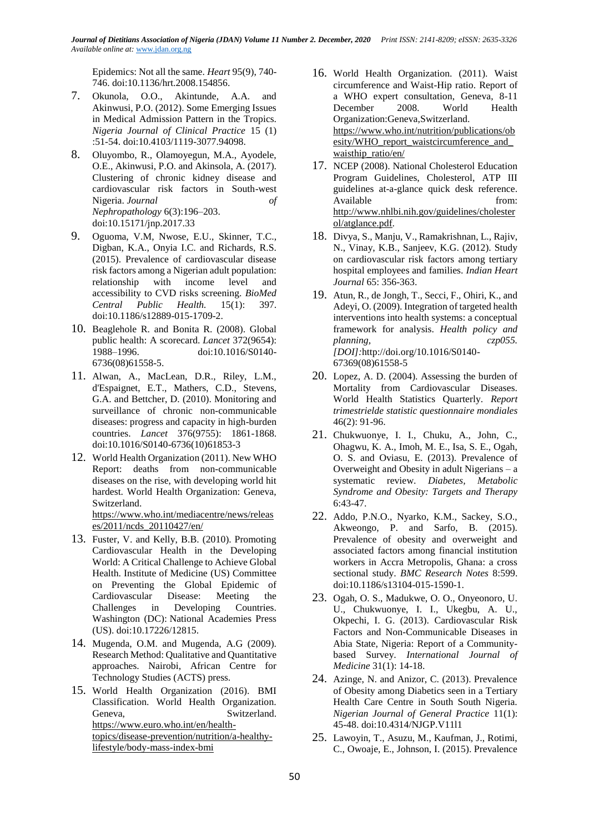Epidemics: Not all the same. *Heart* 95(9), 740- 746. doi:10.1136/hrt.2008.154856.

- 7. Okunola, O.O., Akintunde, A.A. and Akinwusi, P.O. (2012). Some Emerging Issues in Medical Admission Pattern in the Tropics. *Nigeria Journal of Clinical Practice* 15 (1) :51-54. doi:10.4103/1119-3077.94098.
- 8. Oluyombo, R., Olamoyegun, M.A., Ayodele, O.E., Akinwusi, P.O. and Akinsola, A. (2017). Clustering of chronic kidney disease and cardiovascular risk factors in South-west Nigeria. *Journal of Nephropathology* 6(3):196–203. doi:10.15171/jnp.2017.33
- 9. Oguoma, V.M, Nwose, E.U., Skinner, T.C., Digban, K.A., Onyia I.C. and Richards, R.S. (2015). Prevalence of cardiovascular disease risk factors among a Nigerian adult population: relationship with income level and accessibility to CVD risks screening. *BioMed Central Public Health.* 15(1): 397. doi:10.1186/s12889-015-1709-2.
- 10. Beaglehole R. and Bonita R. (2008). Global public health: A scorecard. *Lancet* 372(9654): 1988–1996. doi:10.1016/S0140- 6736(08)61558-5.
- 11. Alwan, A., MacLean, D.R., Riley, L.M., d'Espaignet, E.T., Mathers, C.D., Stevens, G.A. and Bettcher, D. (2010). Monitoring and surveillance of chronic non-communicable diseases: progress and capacity in high-burden countries. *Lancet* 376(9755): 1861-1868. doi:10.1016/S0140-6736(10)61853-3
- 12. World Health Organization (2011). New WHO Report: deaths from non-communicable diseases on the rise, with developing world hit hardest. World Health Organization: Geneva, Switzerland. [https://www.who.int/mediacentre/news/releas](https://www.who.int/mediacentre/news/releases/2011/ncds_20110427/en/) [es/2011/ncds\\_20110427/en/](https://www.who.int/mediacentre/news/releases/2011/ncds_20110427/en/)
- 13. Fuster, V. and Kelly, B.B. (2010). Promoting Cardiovascular Health in the Developing World: A Critical Challenge to Achieve Global Health. Institute of Medicine (US) Committee on Preventing the Global Epidemic of Cardiovascular Disease: Meeting the Challenges in Developing Countries. Washington (DC): [National Academies Press](http://www.nap.edu/)  [\(US\).](http://www.nap.edu/) doi:10.17226/12815.
- 14. Mugenda, O.M. and Mugenda, A.G (2009). Research Method: Qualitative and Quantitative approaches. Nairobi, African Centre for Technology Studies (ACTS) press.
- 15. World Health Organization (2016). BMI Classification. World Health Organization. Geneva, Switzerland. [https://www.euro.who.int/en/health](https://www.euro.who.int/en/health-topics/disease-prevention/nutrition/a-healthy-lifestyle/body-mass-index-bmi)[topics/disease-prevention/nutrition/a-healthy](https://www.euro.who.int/en/health-topics/disease-prevention/nutrition/a-healthy-lifestyle/body-mass-index-bmi)[lifestyle/body-mass-index-bmi](https://www.euro.who.int/en/health-topics/disease-prevention/nutrition/a-healthy-lifestyle/body-mass-index-bmi)
- 16. World Health Organization. (2011). Waist circumference and Waist-Hip ratio. Report of a WHO expert consultation, Geneva, 8-11 December 2008. World Health Organization:Geneva,Switzerland. [https://www.who.int/nutrition/publications/ob](https://www.who.int/nutrition/publications/obesity/WHO_report_waistcircumference_and_waisthip_ratio/en/) esity/WHO\_report\_waistcircumference\_and [waisthip\\_ratio/en/](https://www.who.int/nutrition/publications/obesity/WHO_report_waistcircumference_and_waisthip_ratio/en/)
- 17. NCEP (2008). National Cholesterol Education Program Guidelines, Cholesterol, ATP III guidelines at-a-glance quick desk reference. Available from from  $\mathbf{f}$ [http://www.nhlbi.nih.gov/guidelines/cholester](http://www.nhlbi.nih.gov/guidelines/cholesterol/atglance.pdf) [ol/atglance.pdf.](http://www.nhlbi.nih.gov/guidelines/cholesterol/atglance.pdf)
- 18. Divya, S., Manju, V., Ramakrishnan, L., Rajiv, N., Vinay, K.B., Sanjeev, K.G. (2012). Study on cardiovascular risk factors among tertiary hospital employees and families. *Indian Heart Journal* 65: 356-363.
- 19. Atun, R., de Jongh, T., Secci, F., Ohiri, K., and Adeyi, O. (2009). Integration of targeted health interventions into health systems: a conceptual framework for analysis. *Health policy and planning, czp055. [DOI]:*http://doi.org/10.1016/S0140- 67369(08)61558-5
- 20. Lopez, A. D. (2004). Assessing the burden of Mortality from Cardiovascular Diseases. World Health Statistics Quarterly. *Report trimestrielde statistic questionnaire mondiales*  46(2): 91-96.
- 21. Chukwuonye, I. I., Chuku, A., John, C., Ohagwu, K. A., Imoh, M. E., Isa, S. E., Ogah, O. S. and Oviasu, E. (2013). Prevalence of Overweight and Obesity in adult Nigerians – a systematic review. *Diabetes, Metabolic Syndrome and Obesity: Targets and Therapy*  6:43-47.
- 22. Addo, P.N.O., Nyarko, K.M., Sackey, S.O., Akweongo, P. and Sarfo, B. (2015). Prevalence of obesity and overweight and associated factors among financial institution workers in Accra Metropolis, Ghana: a cross sectional study. *BMC Research Notes* 8:599. doi:10.1186/s13104-015-1590-1.
- 23. Ogah, O. S., Madukwe, O. O., Onyeonoro, U. U., Chukwuonye, I. I., Ukegbu, A. U., Okpechi, I. G. (2013). Cardiovascular Risk Factors and Non-Communicable Diseases in Abia State, Nigeria: Report of a Communitybased Survey. *International Journal of Medicine* 31(1): 14-18.
- 24. Azinge, N. and Anizor, C. (2013). Prevalence of Obesity among Diabetics seen in a Tertiary Health Care Centre in South South Nigeria. *Nigerian Journal of General Practice* 11(1): 45-48. doi:10.4314/NJGP.V11l1
- 25. Lawoyin, T., Asuzu, M., Kaufman, J., Rotimi, C., Owoaje, E., Johnson, I. (2015). Prevalence